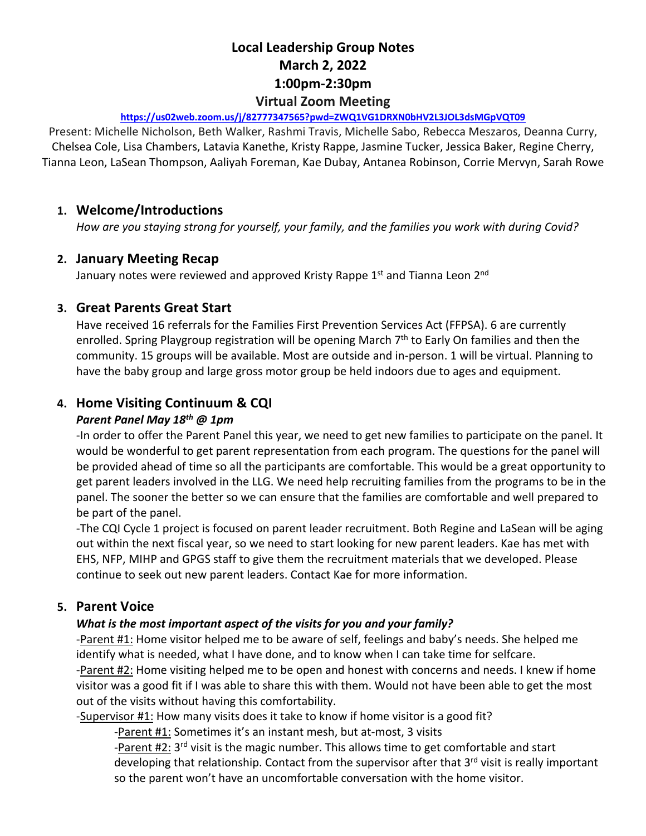# **Local Leadership Group Notes March 2, 2022 1:00pm-2:30pm Virtual Zoom Meeting**

#### **https://us02web.zoom.us/j/82777347565?pwd=ZWQ1VG1DRXN0bHV2L3JOL3dsMGpVQT09**

Present: Michelle Nicholson, Beth Walker, Rashmi Travis, Michelle Sabo, Rebecca Meszaros, Deanna Curry, Chelsea Cole, Lisa Chambers, Latavia Kanethe, Kristy Rappe, Jasmine Tucker, Jessica Baker, Regine Cherry, Tianna Leon, LaSean Thompson, Aaliyah Foreman, Kae Dubay, Antanea Robinson, Corrie Mervyn, Sarah Rowe

## **1. Welcome/Introductions**

*How are you staying strong for yourself, your family, and the families you work with during Covid?*

#### **2. January Meeting Recap**

January notes were reviewed and approved Kristy Rappe 1<sup>st</sup> and Tianna Leon 2<sup>nd</sup>

### **3. Great Parents Great Start**

Have received 16 referrals for the Families First Prevention Services Act (FFPSA). 6 are currently enrolled. Spring Playgroup registration will be opening March 7<sup>th</sup> to Early On families and then the community. 15 groups will be available. Most are outside and in-person. 1 will be virtual. Planning to have the baby group and large gross motor group be held indoors due to ages and equipment.

## **4. Home Visiting Continuum & CQI**

#### *Parent Panel May 18th @ 1pm*

-In order to offer the Parent Panel this year, we need to get new families to participate on the panel. It would be wonderful to get parent representation from each program. The questions for the panel will be provided ahead of time so all the participants are comfortable. This would be a great opportunity to get parent leaders involved in the LLG. We need help recruiting families from the programs to be in the panel. The sooner the better so we can ensure that the families are comfortable and well prepared to be part of the panel.

-The CQI Cycle 1 project is focused on parent leader recruitment. Both Regine and LaSean will be aging out within the next fiscal year, so we need to start looking for new parent leaders. Kae has met with EHS, NFP, MIHP and GPGS staff to give them the recruitment materials that we developed. Please continue to seek out new parent leaders. Contact Kae for more information.

#### **5. Parent Voice**

#### *What is the most important aspect of the visits for you and your family?*

-Parent #1: Home visitor helped me to be aware of self, feelings and baby's needs. She helped me identify what is needed, what I have done, and to know when I can take time for selfcare.

-Parent #2: Home visiting helped me to be open and honest with concerns and needs. I knew if home visitor was a good fit if I was able to share this with them. Would not have been able to get the most out of the visits without having this comfortability.

-Supervisor #1: How many visits does it take to know if home visitor is a good fit?

-Parent #1: Sometimes it's an instant mesh, but at-most, 3 visits

-Parent #2: 3<sup>rd</sup> visit is the magic number. This allows time to get comfortable and start developing that relationship. Contact from the supervisor after that 3<sup>rd</sup> visit is really important so the parent won't have an uncomfortable conversation with the home visitor.